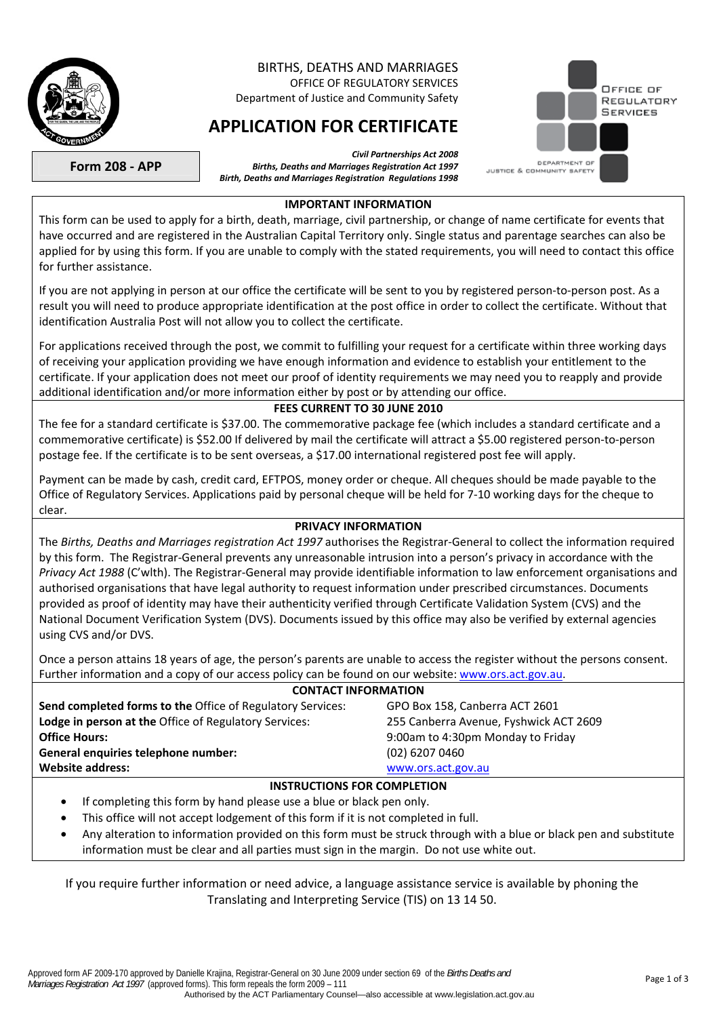

### BIRTHS, DEATHS AND MARRIAGES OFFICE OF REGULATORY SERVICES

Department of Justice and Community Safety

# **APPLICATION FOR CERTIFICATE**



**Form 208 - APP** 

#### **IMPORTANT INFORMATION**

*Births, Deaths and Marriages Registration Act 1997 Birth, Deaths and Marriages Registration Regulations 1998* 

*Civil Partnerships Act 2008*

This form can be used to apply for a birth, death, marriage, civil partnership, or change of name certificate for events that have occurred and are registered in the Australian Capital Territory only. Single status and parentage searches can also be applied for by using this form. If you are unable to comply with the stated requirements, you will need to contact this office for further assistance.

If you are not applying in person at our office the certificate will be sent to you by registered person-to-person post. As a result you will need to produce appropriate identification at the post office in order to collect the certificate. Without that identification Australia Post will not allow you to collect the certificate.

For applications received through the post, we commit to fulfilling your request for a certificate within three working days of receiving your application providing we have enough information and evidence to establish your entitlement to the certificate. If your application does not meet our proof of identity requirements we may need you to reapply and provide additional identification and/or more information either by post or by attending our office.

#### **FEES CURRENT TO 30 JUNE 2010**

The fee for a standard certificate is \$37.00. The commemorative package fee (which includes a standard certificate and a commemorative certificate) is \$52.00 If delivered by mail the certificate will attract a \$5.00 registered person-to-person postage fee. If the certificate is to be sent overseas, a \$17.00 international registered post fee will apply.

Payment can be made by cash, credit card, EFTPOS, money order or cheque. All cheques should be made payable to the Office of Regulatory Services. Applications paid by personal cheque will be held for 7-10 working days for the cheque to clear.

#### **PRIVACY INFORMATION**

The *Births, Deaths and Marriages registration Act 1997* authorises the Registrar-General to collect the information required by this form. The Registrar-General prevents any unreasonable intrusion into a person's privacy in accordance with the *Privacy Act 1988* (C'wlth). The Registrar-General may provide identifiable information to law enforcement organisations and authorised organisations that have legal authority to request information under prescribed circumstances. Documents provided as proof of identity may have their authenticity verified through Certificate Validation System (CVS) and the National Document Verification System (DVS). Documents issued by this office may also be verified by external agencies using CVS and/or DVS.

Once a person attains 18 years of age, the person's parents are unable to access the register without the persons consent. Further information and a copy of our access policy can be found on our website: [www.ors.act.gov.au.](http://www.ors.act.gov.au/)

#### **CONTACT INFORMATION**

| CONTACT IN ONWATION                                               |                                        |  |  |  |  |  |  |  |
|-------------------------------------------------------------------|----------------------------------------|--|--|--|--|--|--|--|
| <b>Send completed forms to the Office of Regulatory Services:</b> | GPO Box 158, Canberra ACT 2601         |  |  |  |  |  |  |  |
| <b>Lodge in person at the Office of Regulatory Services:</b>      | 255 Canberra Avenue, Fyshwick ACT 2609 |  |  |  |  |  |  |  |
| <b>Office Hours:</b>                                              | 9:00am to 4:30pm Monday to Friday      |  |  |  |  |  |  |  |
| General enquiries telephone number:                               | $(02)$ 6207 0460                       |  |  |  |  |  |  |  |
| <b>Website address:</b>                                           | www.ors.act.gov.au                     |  |  |  |  |  |  |  |
| INSTRUCTIONS FOR COMPLETION                                       |                                        |  |  |  |  |  |  |  |

#### If completing this form by hand please use a blue or black pen only.

- This office will not accept lodgement of this form if it is not completed in full.
- Any alteration to information provided on this form must be struck through with a blue or black pen and substitute information must be clear and all parties must sign in the margin. Do not use white out.

If you require further information or need advice, a language assistance service is available by phoning the Translating and Interpreting Service (TIS) on 13 14 50.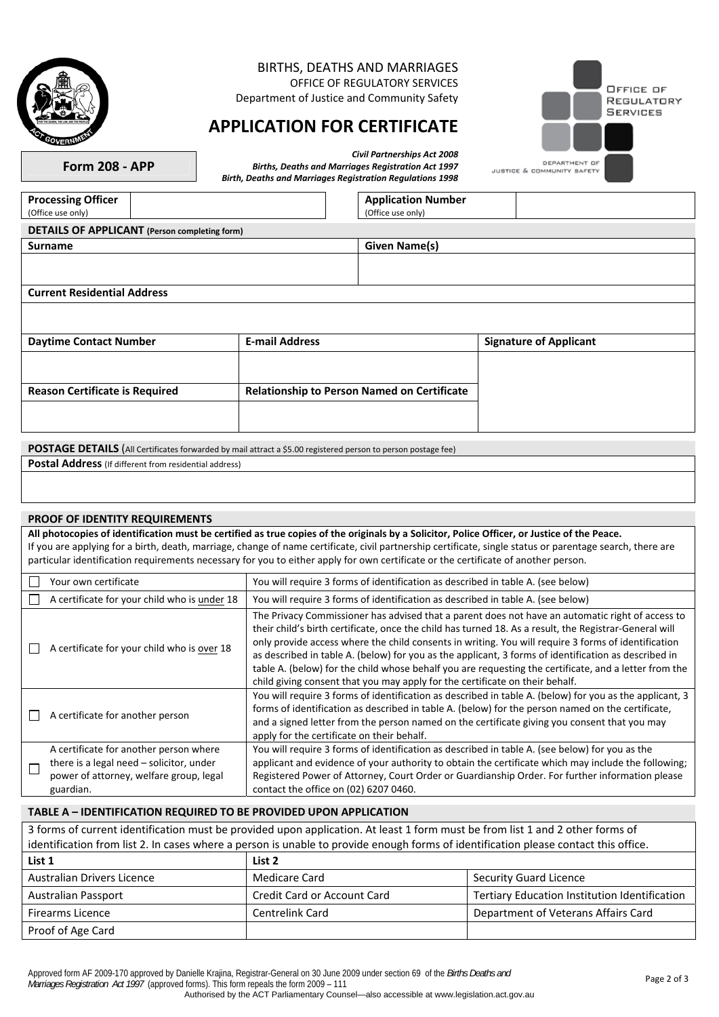

## BIRTHS, DEATHS AND MARRIAGES

OFFICE OF REGULATORY SERVICES Department of Justice and Community Safety

## **APPLICATION FOR CERTIFICATE**

*Birth, Deaths and Marriages Registration Regulations 1998* 



**Form 208 - APP** 

*Civil Partnerships Act 2008 Births, Deaths and Marriages Registration Act 1997* 

JUSTICE & COMMUNITY SAFETY

| <b>Processing Officer</b><br>(Office use only)                                                                |  | <b>Application Number</b><br>(Office use only)     |                               |  |  |  |  |  |
|---------------------------------------------------------------------------------------------------------------|--|----------------------------------------------------|-------------------------------|--|--|--|--|--|
| <b>DETAILS OF APPLICANT</b> (Person completing form)                                                          |  |                                                    |                               |  |  |  |  |  |
| <b>Surname</b>                                                                                                |  | <b>Given Name(s)</b>                               |                               |  |  |  |  |  |
|                                                                                                               |  |                                                    |                               |  |  |  |  |  |
| <b>Current Residential Address</b>                                                                            |  |                                                    |                               |  |  |  |  |  |
|                                                                                                               |  |                                                    | <b>Signature of Applicant</b> |  |  |  |  |  |
| <b>Daytime Contact Number</b>                                                                                 |  | <b>E-mail Address</b>                              |                               |  |  |  |  |  |
|                                                                                                               |  |                                                    |                               |  |  |  |  |  |
| <b>Reason Certificate is Required</b>                                                                         |  | <b>Relationship to Person Named on Certificate</b> |                               |  |  |  |  |  |
|                                                                                                               |  |                                                    |                               |  |  |  |  |  |
| POSTAGE DETAILS (All Certificates forwarded by mail attract a \$5.00 registered person to person postage fee) |  |                                                    |                               |  |  |  |  |  |

**Postal Address** (If different from residential address)

#### **PROOF OF IDENTITY REQUIREMENTS**

**All photocopies of identification must be certified as true copies of the originals by a Solicitor, Police Officer, or Justice of the Peace.**  If you are applying for a birth, death, marriage, change of name certificate, civil partnership certificate, single status or parentage search, there are particular identification requirements necessary for you to either apply for own certificate or the certificate of another person.

| Your own certificate                                                                                                                       | You will require 3 forms of identification as described in table A. (see below)                                                                                                                                                                                                                                                                                                                                                                                                                                                                                                                                    |
|--------------------------------------------------------------------------------------------------------------------------------------------|--------------------------------------------------------------------------------------------------------------------------------------------------------------------------------------------------------------------------------------------------------------------------------------------------------------------------------------------------------------------------------------------------------------------------------------------------------------------------------------------------------------------------------------------------------------------------------------------------------------------|
| A certificate for your child who is under 18                                                                                               | You will require 3 forms of identification as described in table A. (see below)                                                                                                                                                                                                                                                                                                                                                                                                                                                                                                                                    |
| A certificate for your child who is over 18                                                                                                | The Privacy Commissioner has advised that a parent does not have an automatic right of access to<br>their child's birth certificate, once the child has turned 18. As a result, the Registrar-General will<br>only provide access where the child consents in writing. You will require 3 forms of identification<br>as described in table A. (below) for you as the applicant, 3 forms of identification as described in<br>table A. (below) for the child whose behalf you are requesting the certificate, and a letter from the<br>child giving consent that you may apply for the certificate on their behalf. |
| A certificate for another person                                                                                                           | You will require 3 forms of identification as described in table A. (below) for you as the applicant, 3<br>forms of identification as described in table A. (below) for the person named on the certificate,<br>and a signed letter from the person named on the certificate giving you consent that you may<br>apply for the certificate on their behalf.                                                                                                                                                                                                                                                         |
| A certificate for another person where<br>there is a legal need – solicitor, under<br>power of attorney, welfare group, legal<br>guardian. | You will require 3 forms of identification as described in table A. (see below) for you as the<br>applicant and evidence of your authority to obtain the certificate which may include the following;<br>Registered Power of Attorney, Court Order or Guardianship Order. For further information please<br>contact the office on (02) 6207 0460.                                                                                                                                                                                                                                                                  |

#### **TABLE A – IDENTIFICATION REQUIRED TO BE PROVIDED UPON APPLICATION**

| 3 forms of current identification must be provided upon application. At least 1 form must be from list 1 and 2 other forms of       |                             |                                               |  |  |  |  |
|-------------------------------------------------------------------------------------------------------------------------------------|-----------------------------|-----------------------------------------------|--|--|--|--|
| identification from list 2. In cases where a person is unable to provide enough forms of identification please contact this office. |                             |                                               |  |  |  |  |
| List 1                                                                                                                              | List 2                      |                                               |  |  |  |  |
| Australian Drivers Licence                                                                                                          | Medicare Card               | <b>Security Guard Licence</b>                 |  |  |  |  |
| Australian Passport                                                                                                                 | Credit Card or Account Card | Tertiary Education Institution Identification |  |  |  |  |
| <b>Firearms Licence</b>                                                                                                             | <b>Centrelink Card</b>      | Department of Veterans Affairs Card           |  |  |  |  |
| Proof of Age Card                                                                                                                   |                             |                                               |  |  |  |  |